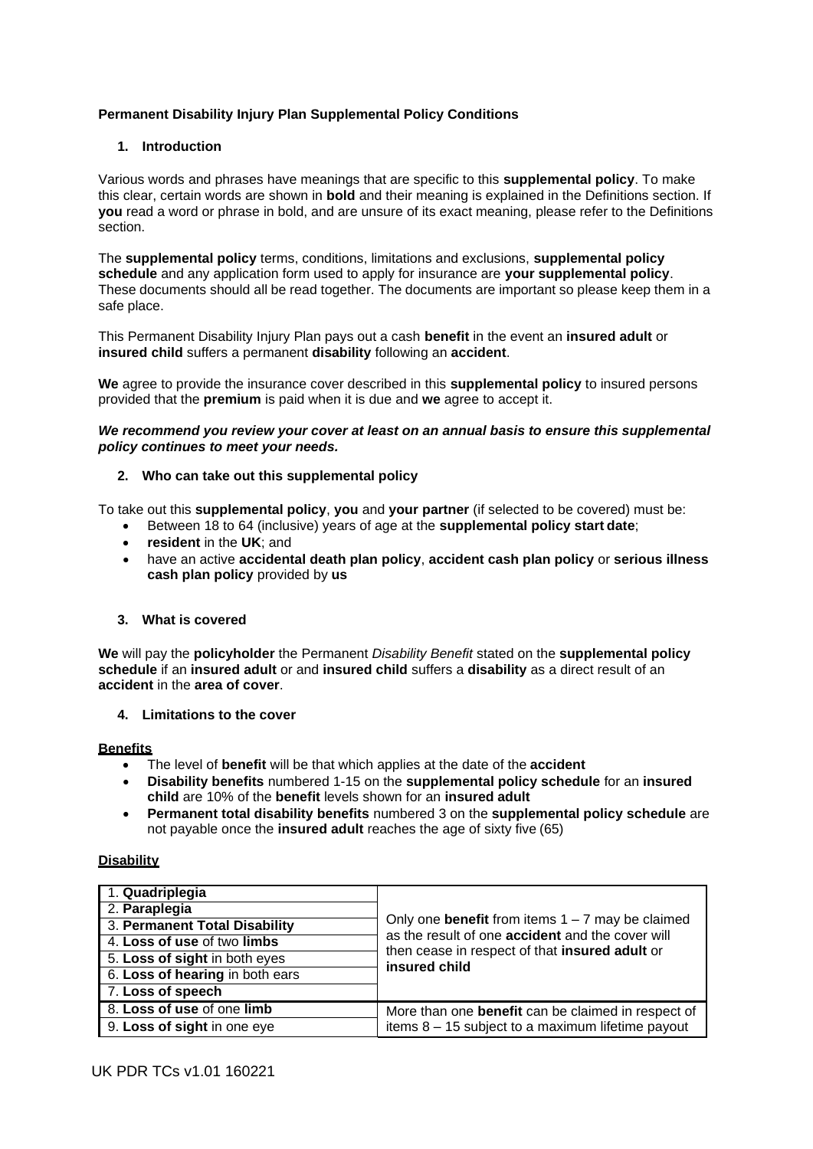# **Permanent Disability Injury Plan Supplemental Policy Conditions**

# **1. Introduction**

Various words and phrases have meanings that are specific to this **supplemental policy**. To make this clear, certain words are shown in **bold** and their meaning is explained in the Definitions section. If **you** read a word or phrase in bold, and are unsure of its exact meaning, please refer to the Definitions section.

The **supplemental policy** terms, conditions, limitations and exclusions, **supplemental policy schedule** and any application form used to apply for insurance are **your supplemental policy**. These documents should all be read together. The documents are important so please keep them in a safe place.

This Permanent Disability Injury Plan pays out a cash **benefit** in the event an **insured adult** or **insured child** suffers a permanent **disability** following an **accident**.

**We** agree to provide the insurance cover described in this **supplemental policy** to insured persons provided that the **premium** is paid when it is due and **we** agree to accept it.

*We recommend you review your cover at least on an annual basis to ensure this supplemental policy continues to meet your needs.*

## **2. Who can take out this supplemental policy**

To take out this **supplemental policy**, **you** and **your partner** (if selected to be covered) must be:

- Between 18 to 64 (inclusive) years of age at the **supplemental policy start date**;
- **resident** in the **UK**; and
- have an active **accidental death plan policy**, **accident cash plan policy** or **serious illness cash plan policy** provided by **us**

### **3. What is covered**

**We** will pay the **policyholder** the Permanent *Disability Benefit* stated on the **supplemental policy schedule** if an **insured adult** or and **insured child** suffers a **disability** as a direct result of an **accident** in the **area of cover**.

**4. Limitations to the cover**

### **Benefits**

- The level of **benefit** will be that which applies at the date of the **accident**
- **Disability benefits** numbered 1-15 on the **supplemental policy schedule** for an **insured child** are 10% of the **benefit** levels shown for an **insured adult**
- **Permanent total disability benefits** numbered 3 on the **supplemental policy schedule** are not payable once the **insured adult** reaches the age of sixty five (65)

### **Disability**

| 1. Quadriplegia                 |                                                                                                                                                                                         |
|---------------------------------|-----------------------------------------------------------------------------------------------------------------------------------------------------------------------------------------|
| 2. Paraplegia                   | Only one <b>benefit</b> from items $1 - 7$ may be claimed<br>as the result of one <b>accident</b> and the cover will<br>then cease in respect of that insured adult or<br>insured child |
| 3. Permanent Total Disability   |                                                                                                                                                                                         |
| 4. Loss of use of two limbs     |                                                                                                                                                                                         |
| 5. Loss of sight in both eyes   |                                                                                                                                                                                         |
| 6. Loss of hearing in both ears |                                                                                                                                                                                         |
| 7. Loss of speech               |                                                                                                                                                                                         |
| 8. Loss of use of one limb      | More than one <b>benefit</b> can be claimed in respect of<br>items 8 - 15 subject to a maximum lifetime payout                                                                          |
| 9. Loss of sight in one eye     |                                                                                                                                                                                         |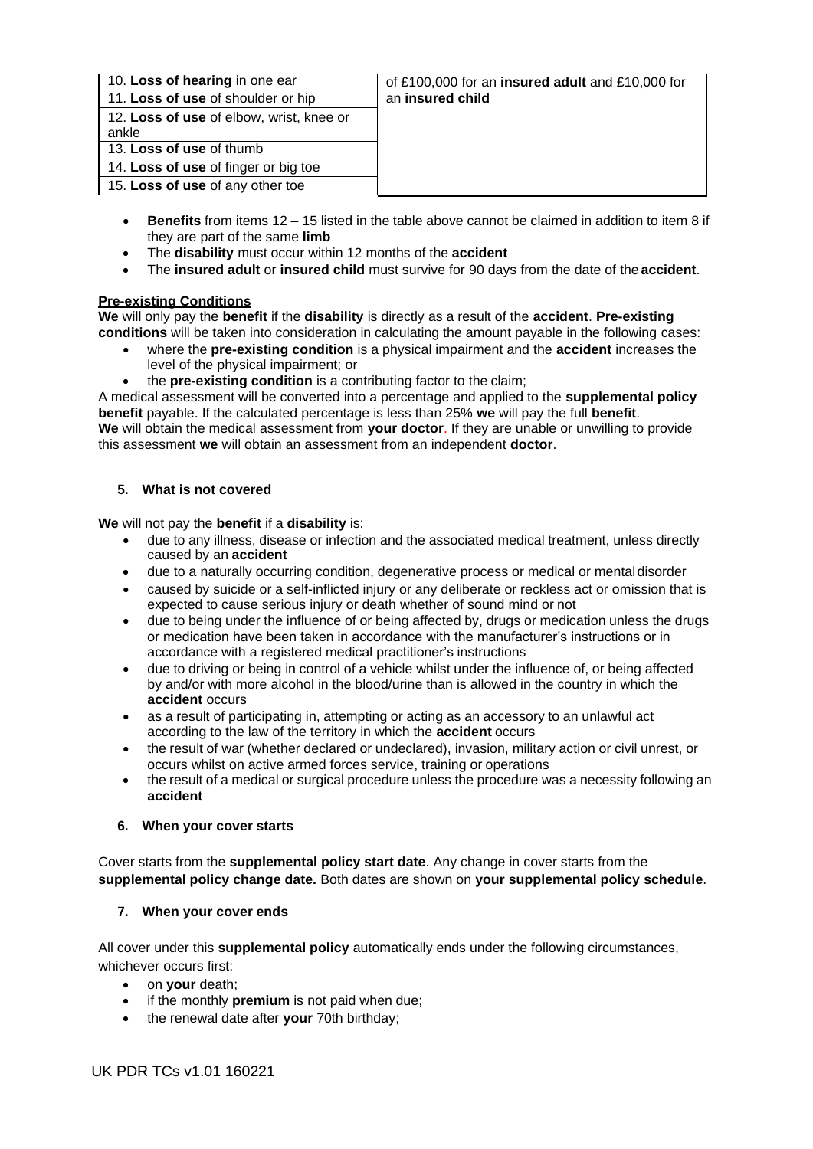| 10. Loss of hearing in one ear<br>11. Loss of use of shoulder or hip | of £100,000 for an <b>insured adult</b> and £10,000 for<br>an insured child |
|----------------------------------------------------------------------|-----------------------------------------------------------------------------|
| 12. Loss of use of elbow, wrist, knee or<br>ankle                    |                                                                             |
| 13. Loss of use of thumb                                             |                                                                             |
| 14. Loss of use of finger or big toe                                 |                                                                             |
| 15. Loss of use of any other toe                                     |                                                                             |

- **Benefits** from items 12 15 listed in the table above cannot be claimed in addition to item 8 if they are part of the same **limb**
- The **disability** must occur within 12 months of the **accident**
- The **insured adult** or **insured child** must survive for 90 days from the date of the **accident**.

# **Pre-existing Conditions**

**We** will only pay the **benefit** if the **disability** is directly as a result of the **accident**. **Pre-existing conditions** will be taken into consideration in calculating the amount payable in the following cases:

- where the **pre-existing condition** is a physical impairment and the **accident** increases the level of the physical impairment; or
- the **pre-existing condition** is a contributing factor to the claim;

A medical assessment will be converted into a percentage and applied to the **supplemental policy benefit** payable. If the calculated percentage is less than 25% **we** will pay the full **benefit**. **We** will obtain the medical assessment from **your doctor**. If they are unable or unwilling to provide this assessment **we** will obtain an assessment from an independent **doctor**.

# **5. What is not covered**

**We** will not pay the **benefit** if a **disability** is:

- due to any illness, disease or infection and the associated medical treatment, unless directly caused by an **accident**
- due to a naturally occurring condition, degenerative process or medical or mentaldisorder
- caused by suicide or a self-inflicted injury or any deliberate or reckless act or omission that is expected to cause serious injury or death whether of sound mind or not
- due to being under the influence of or being affected by, drugs or medication unless the drugs or medication have been taken in accordance with the manufacturer's instructions or in accordance with a registered medical practitioner's instructions
- due to driving or being in control of a vehicle whilst under the influence of, or being affected by and/or with more alcohol in the blood/urine than is allowed in the country in which the **accident** occurs
- as a result of participating in, attempting or acting as an accessory to an unlawful act according to the law of the territory in which the **accident** occurs
- the result of war (whether declared or undeclared), invasion, military action or civil unrest, or occurs whilst on active armed forces service, training or operations
- the result of a medical or surgical procedure unless the procedure was a necessity following an **accident**

# **6. When your cover starts**

Cover starts from the **supplemental policy start date**. Any change in cover starts from the **supplemental policy change date.** Both dates are shown on **your supplemental policy schedule**.

# **7. When your cover ends**

All cover under this **supplemental policy** automatically ends under the following circumstances, whichever occurs first:

- on **your** death;
- if the monthly **premium** is not paid when due;
- the renewal date after **your** 70th birthday;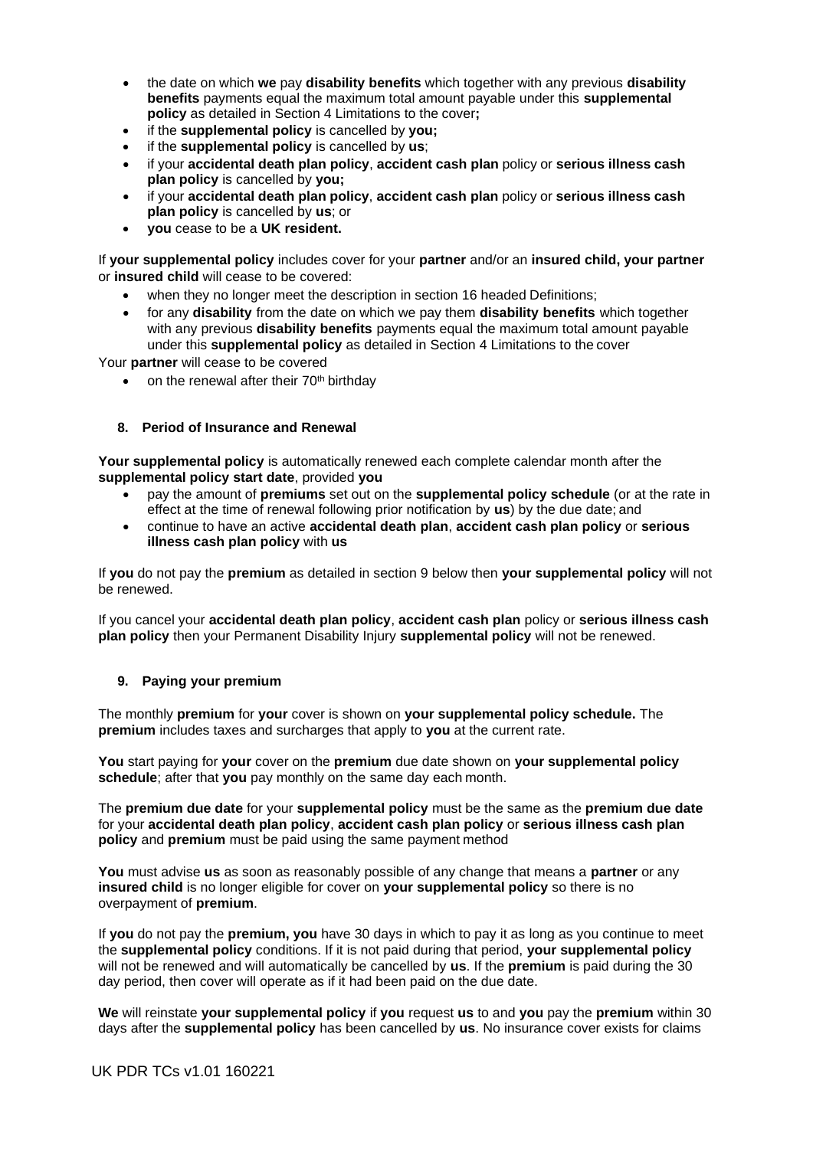- the date on which **we** pay **disability benefits** which together with any previous **disability benefits** payments equal the maximum total amount payable under this **supplemental policy** as detailed in Section 4 Limitations to the cover**;**
- if the **supplemental policy** is cancelled by **you;**
- if the **supplemental policy** is cancelled by **us**;
- if your **accidental death plan policy**, **accident cash plan** policy or **serious illness cash plan policy** is cancelled by **you;**
- if your **accidental death plan policy**, **accident cash plan** policy or **serious illness cash plan policy** is cancelled by **us**; or
- **you** cease to be a **UK resident.**

If **your supplemental policy** includes cover for your **partner** and/or an **insured child, your partner** or **insured child** will cease to be covered:

- when they no longer meet the description in section 16 headed Definitions;
- for any **disability** from the date on which we pay them **disability benefits** which together with any previous **disability benefits** payments equal the maximum total amount payable under this **supplemental policy** as detailed in Section 4 Limitations to the cover

Your **partner** will cease to be covered

• on the renewal after their  $70<sup>th</sup>$  birthday

## **8. Period of Insurance and Renewal**

**Your supplemental policy** is automatically renewed each complete calendar month after the **supplemental policy start date**, provided **you**

- pay the amount of **premiums** set out on the **supplemental policy schedule** (or at the rate in effect at the time of renewal following prior notification by **us**) by the due date; and
- continue to have an active **accidental death plan**, **accident cash plan policy** or **serious illness cash plan policy** with **us**

If **you** do not pay the **premium** as detailed in section 9 below then **your supplemental policy** will not be renewed.

If you cancel your **accidental death plan policy**, **accident cash plan** policy or **serious illness cash plan policy** then your Permanent Disability Injury **supplemental policy** will not be renewed.

# **9. Paying your premium**

The monthly **premium** for **your** cover is shown on **your supplemental policy schedule.** The **premium** includes taxes and surcharges that apply to **you** at the current rate.

**You** start paying for **your** cover on the **premium** due date shown on **your supplemental policy schedule**; after that **you** pay monthly on the same day each month.

The **premium due date** for your **supplemental policy** must be the same as the **premium due date**  for your **accidental death plan policy**, **accident cash plan policy** or **serious illness cash plan policy** and **premium** must be paid using the same payment method

**You** must advise **us** as soon as reasonably possible of any change that means a **partner** or any **insured child** is no longer eligible for cover on **your supplemental policy** so there is no overpayment of **premium**.

If **you** do not pay the **premium, you** have 30 days in which to pay it as long as you continue to meet the **supplemental policy** conditions. If it is not paid during that period, **your supplemental policy**  will not be renewed and will automatically be cancelled by **us**. If the **premium** is paid during the 30 day period, then cover will operate as if it had been paid on the due date.

**We** will reinstate **your supplemental policy** if **you** request **us** to and **you** pay the **premium** within 30 days after the **supplemental policy** has been cancelled by **us**. No insurance cover exists for claims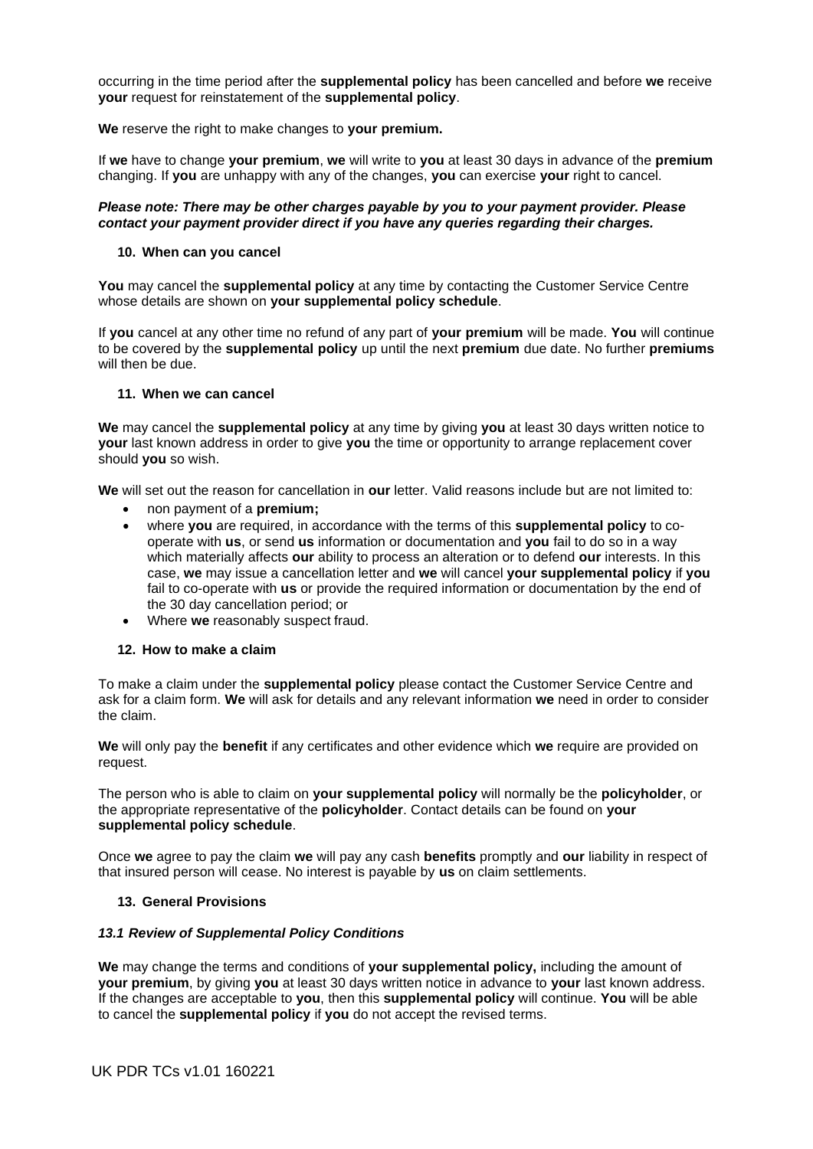occurring in the time period after the **supplemental policy** has been cancelled and before **we** receive **your** request for reinstatement of the **supplemental policy**.

**We** reserve the right to make changes to **your premium.**

If **we** have to change **your premium**, **we** will write to **you** at least 30 days in advance of the **premium** changing. If **you** are unhappy with any of the changes, **you** can exercise **your** right to cancel.

### *Please note: There may be other charges payable by you to your payment provider. Please contact your payment provider direct if you have any queries regarding their charges.*

### **10. When can you cancel**

**You** may cancel the **supplemental policy** at any time by contacting the Customer Service Centre whose details are shown on **your supplemental policy schedule**.

If **you** cancel at any other time no refund of any part of **your premium** will be made. **You** will continue to be covered by the **supplemental policy** up until the next **premium** due date. No further **premiums**  will then be due.

## **11. When we can cancel**

**We** may cancel the **supplemental policy** at any time by giving **you** at least 30 days written notice to **your** last known address in order to give **you** the time or opportunity to arrange replacement cover should **you** so wish.

**We** will set out the reason for cancellation in **our** letter. Valid reasons include but are not limited to:

- non payment of a **premium;**
- where **you** are required, in accordance with the terms of this **supplemental policy** to cooperate with **us**, or send **us** information or documentation and **you** fail to do so in a way which materially affects **our** ability to process an alteration or to defend **our** interests. In this case, **we** may issue a cancellation letter and **we** will cancel **your supplemental policy** if **you**  fail to co-operate with **us** or provide the required information or documentation by the end of the 30 day cancellation period; or
- Where **we** reasonably suspect fraud.

# **12. How to make a claim**

To make a claim under the **supplemental policy** please contact the Customer Service Centre and ask for a claim form. **We** will ask for details and any relevant information **we** need in order to consider the claim.

**We** will only pay the **benefit** if any certificates and other evidence which **we** require are provided on request.

The person who is able to claim on **your supplemental policy** will normally be the **policyholder**, or the appropriate representative of the **policyholder**. Contact details can be found on **your supplemental policy schedule**.

Once **we** agree to pay the claim **we** will pay any cash **benefits** promptly and **our** liability in respect of that insured person will cease. No interest is payable by **us** on claim settlements.

# **13. General Provisions**

### *13.1 Review of Supplemental Policy Conditions*

**We** may change the terms and conditions of **your supplemental policy,** including the amount of **your premium**, by giving **you** at least 30 days written notice in advance to **your** last known address. If the changes are acceptable to **you**, then this **supplemental policy** will continue. **You** will be able to cancel the **supplemental policy** if **you** do not accept the revised terms.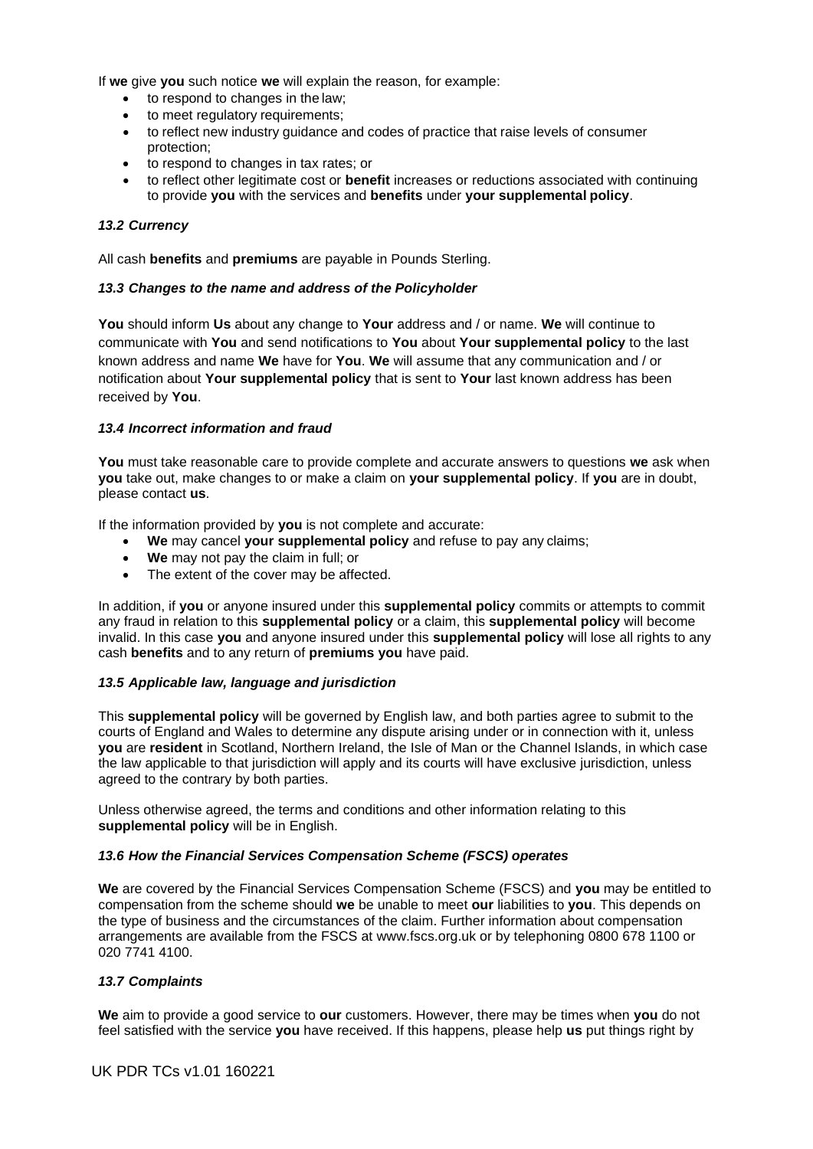If **we** give **you** such notice **we** will explain the reason, for example:

- to respond to changes in the law;
- to meet regulatory requirements;
- to reflect new industry guidance and codes of practice that raise levels of consumer protection;
- to respond to changes in tax rates; or
- to reflect other legitimate cost or **benefit** increases or reductions associated with continuing to provide **you** with the services and **benefits** under **your supplemental policy**.

## *13.2 Currency*

All cash **benefits** and **premiums** are payable in Pounds Sterling.

## *13.3 Changes to the name and address of the Policyholder*

**You** should inform **Us** about any change to **Your** address and / or name. **We** will continue to communicate with **You** and send notifications to **You** about **Your supplemental policy** to the last known address and name **We** have for **You**. **We** will assume that any communication and / or notification about **Your supplemental policy** that is sent to **Your** last known address has been received by **You**.

## *13.4 Incorrect information and fraud*

**You** must take reasonable care to provide complete and accurate answers to questions **we** ask when **you** take out, make changes to or make a claim on **your supplemental policy**. If **you** are in doubt, please contact **us**.

If the information provided by **you** is not complete and accurate:

- **We** may cancel **your supplemental policy** and refuse to pay any claims;
- **We** may not pay the claim in full; or
- The extent of the cover may be affected.

In addition, if **you** or anyone insured under this **supplemental policy** commits or attempts to commit any fraud in relation to this **supplemental policy** or a claim, this **supplemental policy** will become invalid. In this case **you** and anyone insured under this **supplemental policy** will lose all rights to any cash **benefits** and to any return of **premiums you** have paid.

### *13.5 Applicable law, language and jurisdiction*

This **supplemental policy** will be governed by English law, and both parties agree to submit to the courts of England and Wales to determine any dispute arising under or in connection with it, unless **you** are **resident** in Scotland, Northern Ireland, the Isle of Man or the Channel Islands, in which case the law applicable to that jurisdiction will apply and its courts will have exclusive jurisdiction, unless agreed to the contrary by both parties.

Unless otherwise agreed, the terms and conditions and other information relating to this **supplemental policy** will be in English.

# *13.6 How the Financial Services Compensation Scheme (FSCS) operates*

**We** are covered by the Financial Services Compensation Scheme (FSCS) and **you** may be entitled to compensation from the scheme should **we** be unable to meet **our** liabilities to **you**. This depends on the type of business and the circumstances of the claim. Further information about compensation arrangements are available from the FSCS at [www.fscs.org.uk o](http://www.fscs.org.uk/)r by telephoning 0800 678 1100 or 020 7741 4100.

### *13.7 Complaints*

**We** aim to provide a good service to **our** customers. However, there may be times when **you** do not feel satisfied with the service **you** have received. If this happens, please help **us** put things right by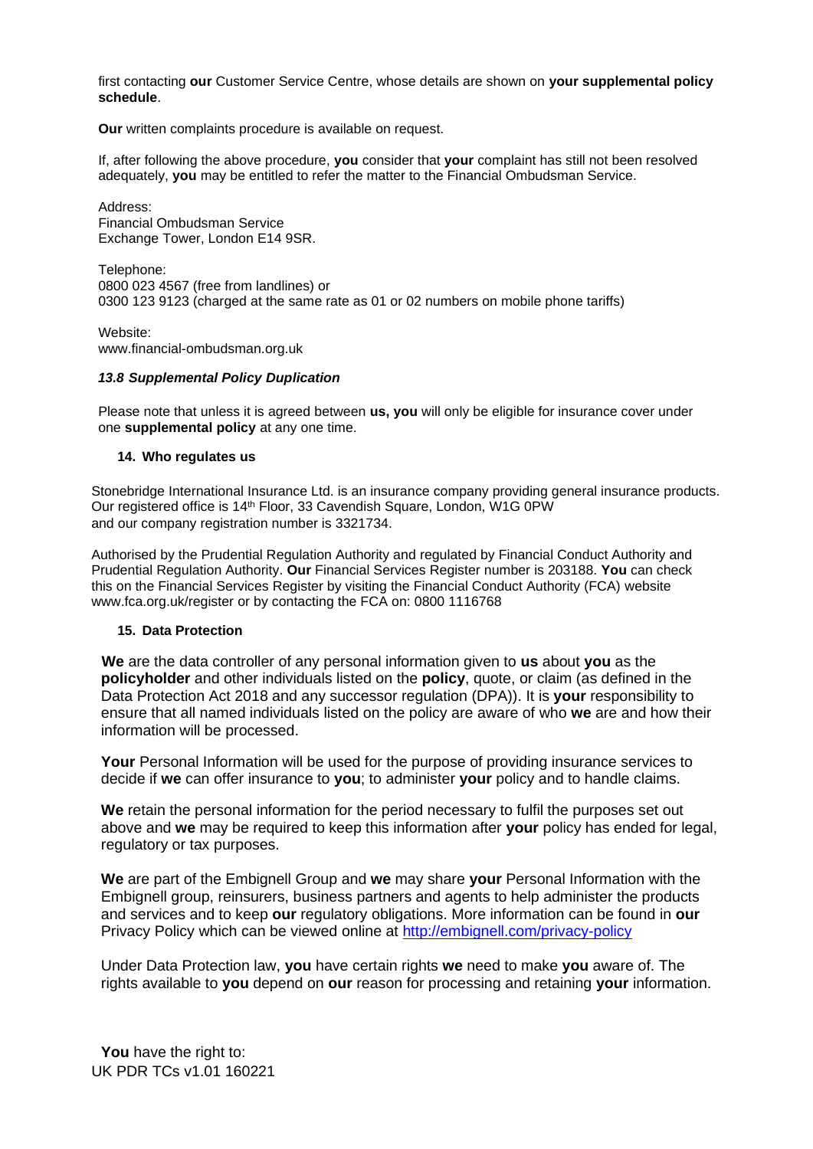first contacting **our** Customer Service Centre, whose details are shown on **your supplemental policy schedule**.

**Our** written complaints procedure is available on request.

If, after following the above procedure, **you** consider that **your** complaint has still not been resolved adequately, **you** may be entitled to refer the matter to the Financial Ombudsman Service.

Address: Financial Ombudsman Service Exchange Tower, London E14 9SR.

Telephone: 0800 023 4567 (free from landlines) or 0300 123 9123 (charged at the same rate as 01 or 02 numbers on mobile phone tariffs)

Website: [www.financial-ombudsman.org.uk](http://www.financial-ombudsman.org.uk/)

## *13.8 Supplemental Policy Duplication*

Please note that unless it is agreed between **us, you** will only be eligible for insurance cover under one **supplemental policy** at any one time.

# **14. Who regulates us**

Stonebridge International Insurance Ltd. is an insurance company providing general insurance products. Our registered office is 14th Floor, 33 Cavendish Square, London, W1G 0PW and our company registration number is 3321734.

Authorised by the Prudential Regulation Authority and regulated by Financial Conduct Authority and Prudential Regulation Authority. **Our** Financial Services Register number is 203188. **You** can check this on the Financial Services Register by visiting the Financial Conduct Authority (FCA) website [www.fca.org.uk/register o](http://www.fca.org.uk/register)r by contacting the FCA on: 0800 1116768

# **15. Data Protection**

 **We** are the data controller of any personal information given to **us** about **you** as the **policyholder** and other individuals listed on the **policy**, quote, or claim (as defined in the Data Protection Act 2018 and any successor regulation (DPA)). It is **your** responsibility to ensure that all named individuals listed on the policy are aware of who **we** are and how their information will be processed.

**Your** Personal Information will be used for the purpose of providing insurance services to decide if **we** can offer insurance to **you**; to administer **your** policy and to handle claims.

**We** retain the personal information for the period necessary to fulfil the purposes set out above and **we** may be required to keep this information after **your** policy has ended for legal, regulatory or tax purposes.

**We** are part of the Embignell Group and **we** may share **your** Personal Information with the Embignell group, reinsurers, business partners and agents to help administer the products and services and to keep **our** regulatory obligations. More information can be found in **our** Privacy Policy which can be viewed online at<http://embignell.com/privacy-policy>

Under Data Protection law, **you** have certain rights **we** need to make **you** aware of. The rights available to **you** depend on **our** reason for processing and retaining **your** information.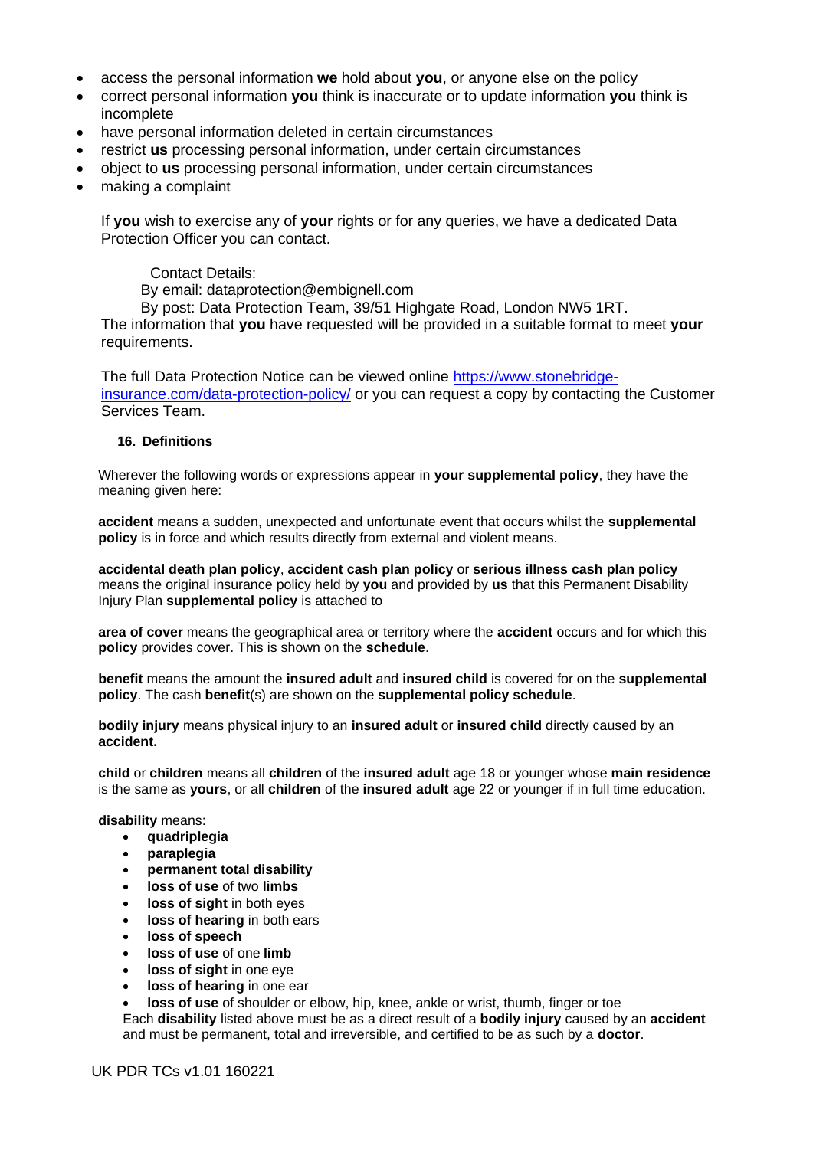- access the personal information **we** hold about **you**, or anyone else on the policy
- correct personal information **you** think is inaccurate or to update information **you** think is incomplete
- have personal information deleted in certain circumstances
- restrict **us** processing personal information, under certain circumstances
- object to **us** processing personal information, under certain circumstances
- making a complaint

If **you** wish to exercise any of **your** rights or for any queries, we have a dedicated Data Protection Officer you can contact.

# Contact Details:

By email: dataprotection@embignell.com

By post: Data Protection Team, 39/51 Highgate Road, London NW5 1RT. The information that **you** have requested will be provided in a suitable format to meet **your**  requirements.

The full Data Protection Notice can be viewed online [https://www.stonebridge](https://www.stonebridge-insurance.com/data-protection-policy/)[insurance.com/data-protection-policy/](https://www.stonebridge-insurance.com/data-protection-policy/) or you can request a copy by contacting the Customer Services Team.

## **16. Definitions**

Wherever the following words or expressions appear in **your supplemental policy**, they have the meaning given here:

**accident** means a sudden, unexpected and unfortunate event that occurs whilst the **supplemental policy** is in force and which results directly from external and violent means.

**accidental death plan policy**, **accident cash plan policy** or **serious illness cash plan policy** means the original insurance policy held by **you** and provided by **us** that this Permanent Disability Injury Plan **supplemental policy** is attached to

**area of cover** means the geographical area or territory where the **accident** occurs and for which this **policy** provides cover. This is shown on the **schedule**.

**benefit** means the amount the **insured adult** and **insured child** is covered for on the **supplemental policy**. The cash **benefit**(s) are shown on the **supplemental policy schedule**.

**bodily injury** means physical injury to an **insured adult** or **insured child** directly caused by an **accident.**

**child** or **children** means all **children** of the **insured adult** age 18 or younger whose **main residence** is the same as **yours**, or all **children** of the **insured adult** age 22 or younger if in full time education.

**disability** means:

- **quadriplegia**
- **paraplegia**
- **permanent total disability**
- **loss of use** of two **limbs**
- **loss of sight** in both eyes
- **loss of hearing** in both ears
- **loss of speech**
- **loss of use** of one **limb**
- **loss of sight** in one eye
- **loss of hearing** in one ear
- **loss of use** of shoulder or elbow, hip, knee, ankle or wrist, thumb, finger or toe

Each **disability** listed above must be as a direct result of a **bodily injury** caused by an **accident** and must be permanent, total and irreversible, and certified to be as such by a **doctor**.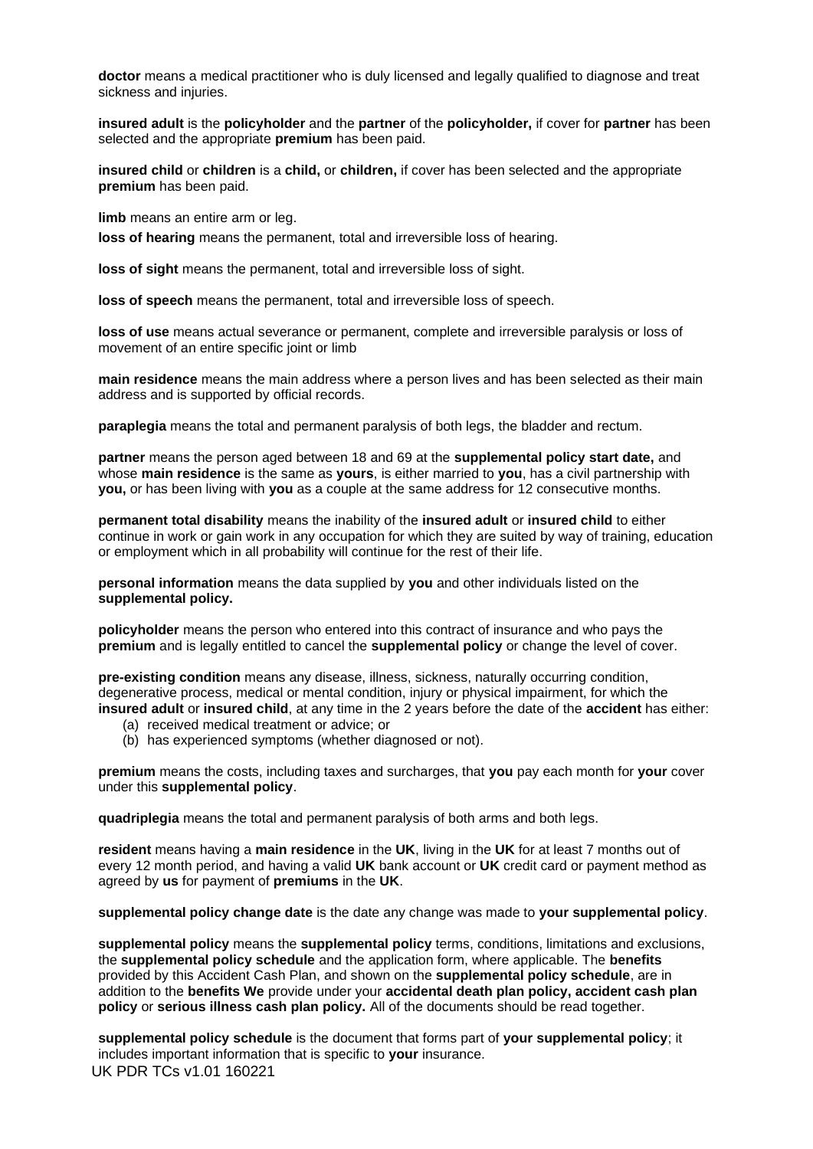**doctor** means a medical practitioner who is duly licensed and legally qualified to diagnose and treat sickness and injuries.

**insured adult** is the **policyholder** and the **partner** of the **policyholder,** if cover for **partner** has been selected and the appropriate **premium** has been paid.

**insured child** or **children** is a **child,** or **children,** if cover has been selected and the appropriate **premium** has been paid.

**limb** means an entire arm or leg.

**loss of hearing** means the permanent, total and irreversible loss of hearing.

**loss of sight** means the permanent, total and irreversible loss of sight.

**loss of speech** means the permanent, total and irreversible loss of speech.

**loss of use** means actual severance or permanent, complete and irreversible paralysis or loss of movement of an entire specific joint or limb

**main residence** means the main address where a person lives and has been selected as their main address and is supported by official records.

**paraplegia** means the total and permanent paralysis of both legs, the bladder and rectum.

**partner** means the person aged between 18 and 69 at the **supplemental policy start date,** and whose **main residence** is the same as **yours**, is either married to **you**, has a civil partnership with **you,** or has been living with **you** as a couple at the same address for 12 consecutive months.

**permanent total disability** means the inability of the **insured adult** or **insured child** to either continue in work or gain work in any occupation for which they are suited by way of training, education or employment which in all probability will continue for the rest of their life.

**personal information** means the data supplied by **you** and other individuals listed on the **supplemental policy.**

**policyholder** means the person who entered into this contract of insurance and who pays the **premium** and is legally entitled to cancel the **supplemental policy** or change the level of cover.

**pre-existing condition** means any disease, illness, sickness, naturally occurring condition, degenerative process, medical or mental condition, injury or physical impairment, for which the **insured adult** or **insured child**, at any time in the 2 years before the date of the **accident** has either:

- (a) received medical treatment or advice; or
- (b) has experienced symptoms (whether diagnosed or not).

**premium** means the costs, including taxes and surcharges, that **you** pay each month for **your** cover under this **supplemental policy**.

**quadriplegia** means the total and permanent paralysis of both arms and both legs.

**resident** means having a **main residence** in the **UK**, living in the **UK** for at least 7 months out of every 12 month period, and having a valid **UK** bank account or **UK** credit card or payment method as agreed by **us** for payment of **premiums** in the **UK**.

**supplemental policy change date** is the date any change was made to **your supplemental policy**.

**supplemental policy** means the **supplemental policy** terms, conditions, limitations and exclusions, the **supplemental policy schedule** and the application form, where applicable. The **benefits**  provided by this Accident Cash Plan, and shown on the **supplemental policy schedule**, are in addition to the **benefits We** provide under your **accidental death plan policy, accident cash plan policy** or **serious illness cash plan policy.** All of the documents should be read together.

UK PDR TCs v1.01 160221 **supplemental policy schedule** is the document that forms part of **your supplemental policy**; it includes important information that is specific to **your** insurance.